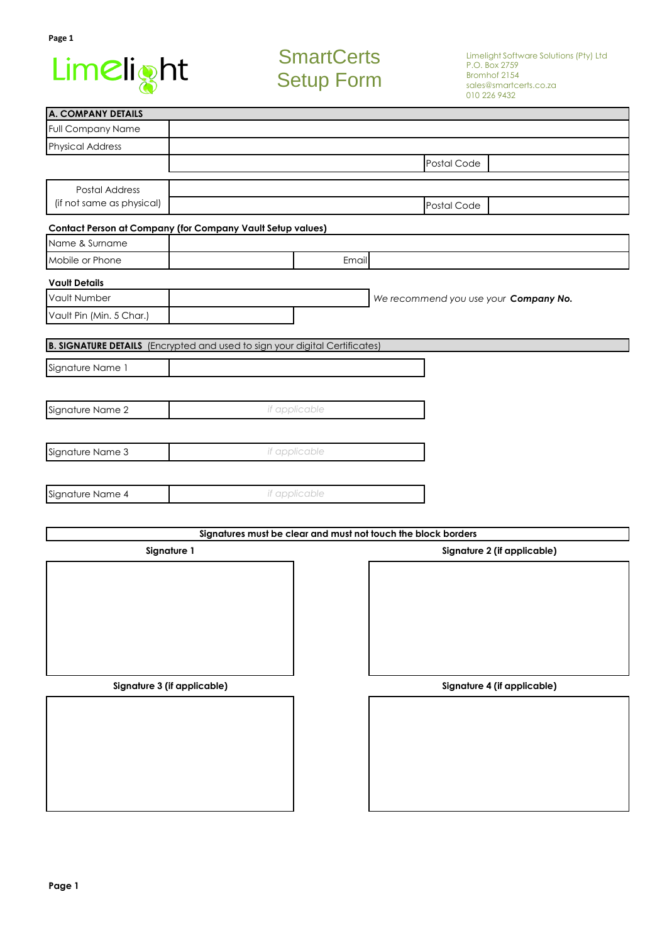

# **SmartCerts** Setup Form

| <b>A. COMPANY DETAILS</b>                                                          |               |               |                                                               |                             |  |  |
|------------------------------------------------------------------------------------|---------------|---------------|---------------------------------------------------------------|-----------------------------|--|--|
| <b>Full Company Name</b>                                                           |               |               |                                                               |                             |  |  |
| <b>Physical Address</b>                                                            |               |               |                                                               |                             |  |  |
|                                                                                    | Postal Code   |               |                                                               |                             |  |  |
| Postal Address                                                                     |               |               |                                                               |                             |  |  |
| (if not same as physical)                                                          | Postal Code   |               |                                                               |                             |  |  |
|                                                                                    |               |               |                                                               |                             |  |  |
| <b>Contact Person at Company (for Company Vault Setup values)</b>                  |               |               |                                                               |                             |  |  |
| Name & Surname                                                                     |               |               |                                                               |                             |  |  |
| Mobile or Phone                                                                    |               | Email         |                                                               |                             |  |  |
| <b>Vault Details</b>                                                               |               |               |                                                               |                             |  |  |
| Vault Number                                                                       |               |               | We recommend you use your Company No.                         |                             |  |  |
| Vault Pin (Min. 5 Char.)                                                           |               |               |                                                               |                             |  |  |
|                                                                                    |               |               |                                                               |                             |  |  |
| <b>B. SIGNATURE DETAILS</b> (Encrypted and used to sign your digital Certificates) |               |               |                                                               |                             |  |  |
| Signature Name 1                                                                   |               |               |                                                               |                             |  |  |
|                                                                                    |               |               |                                                               |                             |  |  |
|                                                                                    |               | if applicable |                                                               |                             |  |  |
| Signature Name 2                                                                   |               |               |                                                               |                             |  |  |
|                                                                                    |               |               |                                                               |                             |  |  |
| Signature Name 3                                                                   |               | if applicable |                                                               |                             |  |  |
|                                                                                    |               |               |                                                               |                             |  |  |
| Signature Name 4                                                                   |               |               |                                                               |                             |  |  |
|                                                                                    | if applicable |               |                                                               |                             |  |  |
|                                                                                    |               |               |                                                               |                             |  |  |
|                                                                                    |               |               | Signatures must be clear and must not touch the block borders |                             |  |  |
| Signature 1                                                                        |               |               | Signature 2 (if applicable)                                   |                             |  |  |
|                                                                                    |               |               |                                                               |                             |  |  |
|                                                                                    |               |               |                                                               |                             |  |  |
|                                                                                    |               |               |                                                               |                             |  |  |
|                                                                                    |               |               |                                                               |                             |  |  |
|                                                                                    |               |               |                                                               |                             |  |  |
|                                                                                    |               |               |                                                               |                             |  |  |
|                                                                                    |               |               |                                                               |                             |  |  |
| Signature 3 (if applicable)                                                        |               |               |                                                               | Signature 4 (if applicable) |  |  |
|                                                                                    |               |               |                                                               |                             |  |  |
|                                                                                    |               |               |                                                               |                             |  |  |
|                                                                                    |               |               |                                                               |                             |  |  |
|                                                                                    |               |               |                                                               |                             |  |  |
|                                                                                    |               |               |                                                               |                             |  |  |
|                                                                                    |               |               |                                                               |                             |  |  |
|                                                                                    |               |               |                                                               |                             |  |  |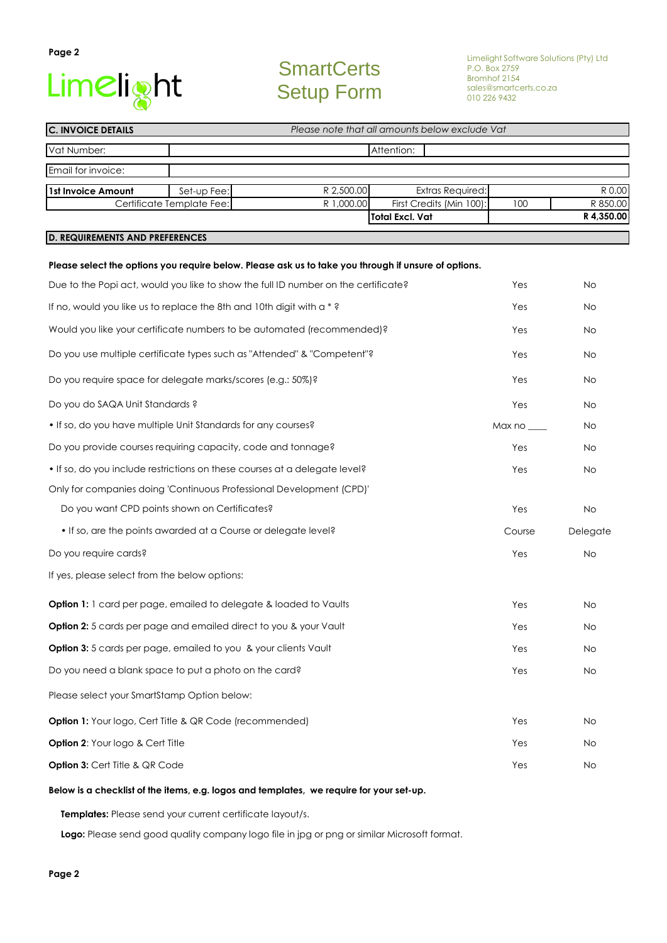# Limelight

**Page 2**

# **SmartCerts** Setup Form

Limelight Software Solutions (Pty) Ltd P.O. Box 2759 Bromhof 2154 sales@smartcerts.co.za 010 226 9432

| <b>C. INVOICE DETAILS</b>                                                                            | Please note that all amounts below exclude Vat |                                                                                    |                                                    |            |                        |  |  |  |
|------------------------------------------------------------------------------------------------------|------------------------------------------------|------------------------------------------------------------------------------------|----------------------------------------------------|------------|------------------------|--|--|--|
| Vat Number:                                                                                          | Attention:                                     |                                                                                    |                                                    |            |                        |  |  |  |
| Email for invoice:                                                                                   |                                                |                                                                                    |                                                    |            |                        |  |  |  |
| 1st Invoice Amount                                                                                   | Set-up Fee:                                    | R 2,500.00                                                                         | <b>Extras Required:</b>                            |            | R 0.00                 |  |  |  |
|                                                                                                      | Certificate Template Fee:                      | R 1,000.00                                                                         | First Credits (Min 100):<br><b>Total Excl. Vat</b> | 100        | R 850.00<br>R 4,350.00 |  |  |  |
| <b>D. REQUIREMENTS AND PREFERENCES</b>                                                               |                                                |                                                                                    |                                                    |            |                        |  |  |  |
|                                                                                                      |                                                |                                                                                    |                                                    |            |                        |  |  |  |
| Please select the options you require below. Please ask us to take you through if unsure of options. |                                                |                                                                                    |                                                    |            |                        |  |  |  |
|                                                                                                      |                                                | Due to the Popi act, would you like to show the full ID number on the certificate? |                                                    | Yes<br>Yes | No                     |  |  |  |
| If no, would you like us to replace the 8th and 10th digit with a *?                                 |                                                |                                                                                    |                                                    |            | No                     |  |  |  |
| Would you like your certificate numbers to be automated (recommended)?                               |                                                |                                                                                    |                                                    | Yes        | No                     |  |  |  |
| Do you use multiple certificate types such as "Attended" & "Competent"?                              |                                                |                                                                                    |                                                    |            | No                     |  |  |  |
| Do you require space for delegate marks/scores (e.g.: 50%)?                                          |                                                |                                                                                    |                                                    |            | No                     |  |  |  |
| Do you do SAQA Unit Standards ?                                                                      |                                                |                                                                                    |                                                    | Yes        | No                     |  |  |  |
| . If so, do you have multiple Unit Standards for any courses?                                        |                                                |                                                                                    |                                                    | Max no     | No                     |  |  |  |
| Do you provide courses requiring capacity, code and tonnage?                                         |                                                |                                                                                    |                                                    | Yes        | No                     |  |  |  |
| . If so, do you include restrictions on these courses at a delegate level?                           |                                                |                                                                                    |                                                    | Yes        | No                     |  |  |  |
|                                                                                                      |                                                | Only for companies doing 'Continuous Professional Development (CPD)'               |                                                    |            |                        |  |  |  |
| Do you want CPD points shown on Certificates?                                                        |                                                |                                                                                    |                                                    | Yes        | No                     |  |  |  |
| . If so, are the points awarded at a Course or delegate level?                                       |                                                |                                                                                    |                                                    | Course     | Delegate               |  |  |  |
| Do you require cards?                                                                                |                                                |                                                                                    |                                                    | Yes        | <b>No</b>              |  |  |  |
| If yes, please select from the below options:                                                        |                                                |                                                                                    |                                                    |            |                        |  |  |  |
| <b>Option 1:</b> 1 card per page, emailed to delegate & loaded to Vaults                             |                                                |                                                                                    |                                                    | Yes        | No                     |  |  |  |
| Option 2: 5 cards per page and emailed direct to you & your Vault                                    |                                                |                                                                                    |                                                    | Yes        | No                     |  |  |  |
| Option 3: 5 cards per page, emailed to you & your clients Vault                                      |                                                |                                                                                    |                                                    | Yes        | No                     |  |  |  |
| Do you need a blank space to put a photo on the card?                                                |                                                |                                                                                    |                                                    | Yes        | No                     |  |  |  |
| Please select your SmartStamp Option below:                                                          |                                                |                                                                                    |                                                    |            |                        |  |  |  |
| <b>Option 1:</b> Your logo, Cert Title & QR Code (recommended)                                       |                                                |                                                                                    |                                                    | Yes        | No                     |  |  |  |
| Option 2: Your logo & Cert Title                                                                     |                                                |                                                                                    |                                                    | Yes        | No                     |  |  |  |
| Option 3: Cert Title & QR Code                                                                       |                                                |                                                                                    |                                                    | Yes        | No                     |  |  |  |
|                                                                                                      |                                                |                                                                                    |                                                    |            |                        |  |  |  |

#### **Below is a checklist of the items, e.g. logos and templates, we require for your set-up.**

 **Templates:** Please send your current certificate layout/s.

 **Logo:** Please send good quality company logo file in jpg or png or similar Microsoft format.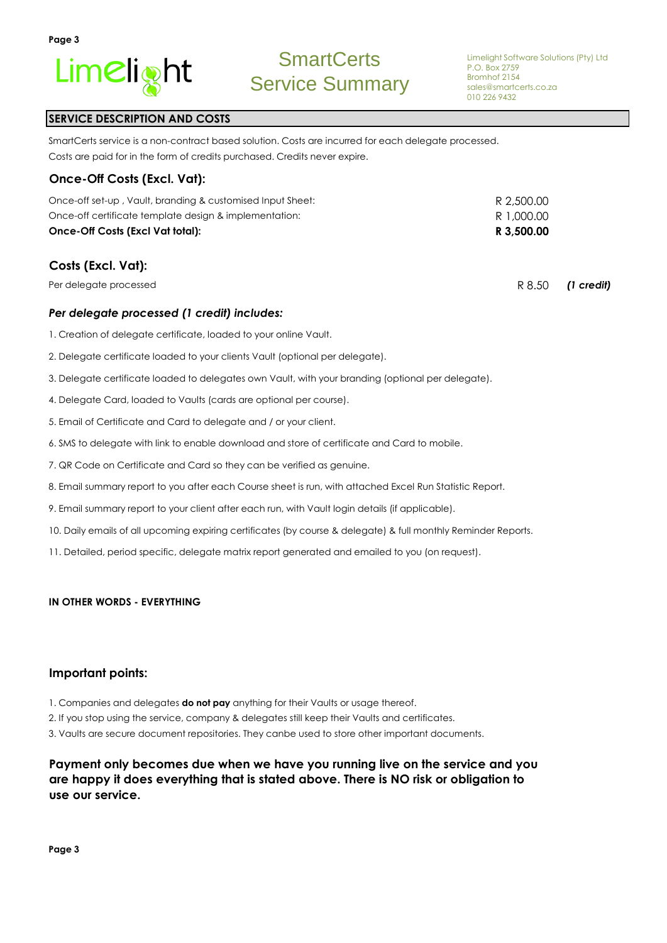

## **SERVICE DESCRIPTION AND COSTS**

Costs are paid for in the form of credits purchased. Credits never expire. SmartCerts service is a non-contract based solution. Costs are incurred for each delegate processed.

#### **Once-Off Costs (Excl. Vat):**

| R 3,500.00 |
|------------|
| R 1.000.00 |
| R 2,500.00 |
|            |

## **Costs (Excl. Vat):**

Per delegate processed

#### *Per delegate processed (1 credit) includes:*

- 1. Creation of delegate certificate, loaded to your online Vault.
- 2. Delegate certificate loaded to your clients Vault (optional per delegate).
- 3. Delegate certificate loaded to delegates own Vault, with your branding (optional per delegate).
- 4. Delegate Card, loaded to Vaults (cards are optional per course).
- 5. Email of Certificate and Card to delegate and / or your client.
- 6. SMS to delegate with link to enable download and store of certificate and Card to mobile.
- 7. QR Code on Certificate and Card so they can be verified as genuine.
- 8. Email summary report to you after each Course sheet is run, with attached Excel Run Statistic Report.
- 9. Email summary report to your client after each run, with Vault login details (if applicable).
- 10. Daily emails of all upcoming expiring certificates (by course & delegate) & full monthly Reminder Reports.
- 11. Detailed, period specific, delegate matrix report generated and emailed to you (on request).

#### **IN OTHER WORDS - EVERYTHING**

#### **Important points:**

- 1. Companies and delegates **do not pay** anything for their Vaults or usage thereof.
- 2. If you stop using the service, company & delegates still keep their Vaults and certificates.

3. Vaults are secure document repositories. They canbe used to store other important documents.

## **Payment only becomes due when we have you running live on the service and you are happy it does everything that is stated above. There is NO risk or obligation to use our service.**

**Page 3**

R 8.50 *(1 credit)*